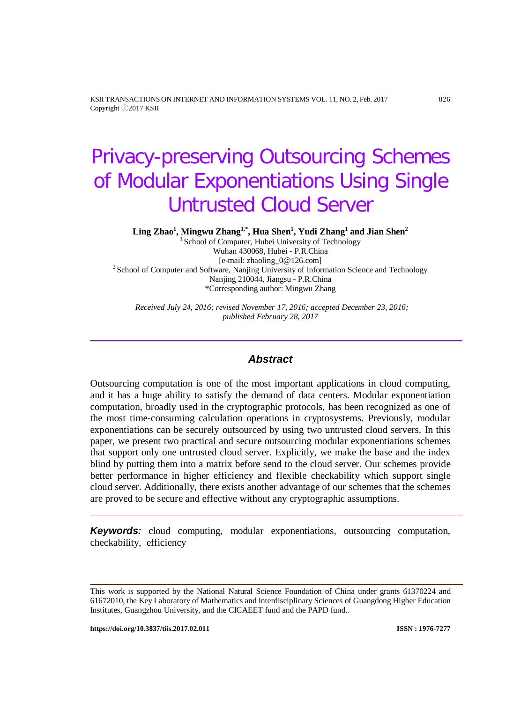KSII TRANSACTIONS ON INTERNET AND INFORMATION SYSTEMS VOL. 11, NO. 2, Feb. 2017 826 Copyright ⓒ2017 KSII

# Privacy-preserving Outsourcing Schemes of Modular Exponentiations Using Single Untrusted Cloud Server

 $\boldsymbol{\mathrm{Ling\ Zhao^1}},$  Mingwu  $\boldsymbol{\mathrm{Zhang^{1,*}}},$  Hua  $\boldsymbol{\mathrm{Shen^1}},$  Yudi  $\boldsymbol{\mathrm{Zhang^1}}$  and  $\boldsymbol{\mathrm{Jian\ Shen^2}}$ 

<sup>1</sup> School of Computer, Hubei University of Technology Wuhan 430068, Hubei - P.R.China [e-mail: [zhaoling\\_0@126.com\]](mailto:zhaoling_0@126.com,) <sup>2</sup> School of Computer and Software, Nanjing University of Information Science and Technology Nanjing 210044, Jiangsu - P.R.China \*Corresponding author: Mingwu Zhang

*Received July 24, 2016; revised November 17, 2016; accepted December 23, 2016; published February 28, 2017*

# *Abstract*

Outsourcing computation is one of the most important applications in cloud computing, and it has a huge ability to satisfy the demand of data centers. Modular exponentiation computation, broadly used in the cryptographic protocols, has been recognized as one of the most time-consuming calculation operations in cryptosystems. Previously, modular exponentiations can be securely outsourced by using two untrusted cloud servers. In this paper, we present two practical and secure outsourcing modular exponentiations schemes that support only one untrusted cloud server. Explicitly, we make the base and the index blind by putting them into a matrix before send to the cloud server. Our schemes provide better performance in higher efficiency and flexible checkability which support single cloud server. Additionally, there exists another advantage of our schemes that the schemes are proved to be secure and effective without any cryptographic assumptions.

*Keywords:* cloud computing, modular exponentiations, outsourcing computation, checkability, efficiency

**https://doi.org/10.3837/tiis.2017.02.011 ISSN : 1976-7277** 

This work is supported by the National Natural Science Foundation of China under grants 61370224 and 61672010, the Key Laboratory of Mathematics and Interdisciplinary Sciences of Guangdong Higher Education Institutes, Guangzhou University, and the CICAEET fund and the PAPD fund..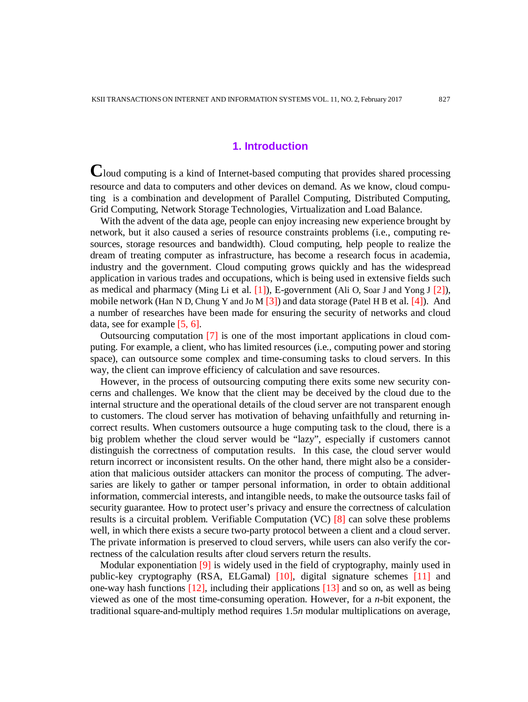# **1. Introduction**

**C**loud computing is a kind of Internet-based computing that provides shared processing resource and data to computers and other devices on demand. As we know, cloud computing is a combination and development of Parallel Computing, Distributed Computing, Grid Computing, Network Storage Technologies, Virtualization and Load Balance.

With the advent of the data age, people can enjoy increasing new experience brought by network, but it also caused a series of resource constraints problems (i.e., computing resources, storage resources and bandwidth). Cloud computing, help people to realize the dream of treating computer as infrastructure, has become a research focus in academia, industry and the government. Cloud computing grows quickly and has the widespread application in various trades and occupations, which is being used in extensive fields such as medical and pharmacy (Ming Li et al.  $[1]$ ), E-government (Ali O, Soar J and Yong J  $[2]$ ), mobile network (Han N D, Chung Y and Jo M  $(3)$ ) and data storage (Patel H B et al. [4]). And a number of researches have been made for ensuring the security of networks and cloud data, see for example [5, 6].

Outsourcing computation [7] is one of the most important applications in cloud computing. For example, a client, who has limited resources (i.e., computing power and storing space), can outsource some complex and time-consuming tasks to cloud servers. In this way, the client can improve efficiency of calculation and save resources.

However, in the process of outsourcing computing there exits some new security concerns and challenges. We know that the client may be deceived by the cloud due to the internal structure and the operational details of the cloud server are not transparent enough to customers. The cloud server has motivation of behaving unfaithfully and returning incorrect results. When customers outsource a huge computing task to the cloud, there is a big problem whether the cloud server would be "lazy", especially if customers cannot distinguish the correctness of computation results. In this case, the cloud server would return incorrect or inconsistent results. On the other hand, there might also be a consideration that malicious outsider attackers can monitor the process of computing. The adversaries are likely to gather or tamper personal information, in order to obtain additional information, commercial interests, and intangible needs, to make the outsource tasks fail of security guarantee. How to protect user's privacy and ensure the correctness of calculation results is a circuital problem. Verifiable Computation (VC) [8] can solve these problems well, in which there exists a secure two-party protocol between a client and a cloud server. The private information is preserved to cloud servers, while users can also verify the correctness of the calculation results after cloud servers return the results.

Modular exponentiation [9] is widely used in the field of cryptography, mainly used in public-key cryptography (RSA, ELGamal) [10], digital signature schemes [11] and one-way hash functions  $[12]$ , including their applications  $[13]$  and so on, as well as being viewed as one of the most time-consuming operation. However, for a *n*-bit exponent, the traditional square-and-multiply method requires 1.5*n* modular multiplications on average,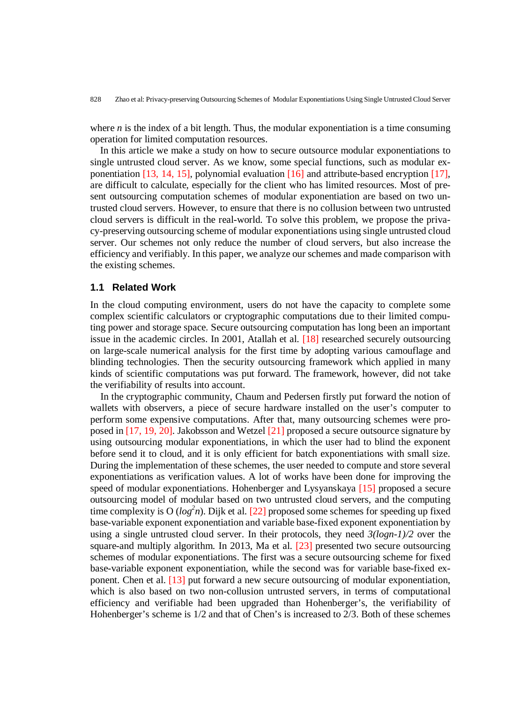where  $n$  is the index of a bit length. Thus, the modular exponentiation is a time consuming operation for limited computation resources.

In this article we make a study on how to secure outsource modular exponentiations to single untrusted cloud server. As we know, some special functions, such as modular exponentiation [13, 14, 15], polynomial evaluation [16] and attribute-based encryption [17], are difficult to calculate, especially for the client who has limited resources. Most of present outsourcing computation schemes of modular exponentiation are based on two untrusted cloud servers. However, to ensure that there is no collusion between two untrusted cloud servers is difficult in the real-world. To solve this problem, we propose the privacy-preserving outsourcing scheme of modular exponentiations using single untrusted cloud server. Our schemes not only reduce the number of cloud servers, but also increase the efficiency and verifiably. In this paper, we analyze our schemes and made comparison with the existing schemes.

#### **1.1 Related Work**

In the cloud computing environment, users do not have the capacity to complete some complex scientific calculators or cryptographic computations due to their limited computing power and storage space. Secure outsourcing computation has long been an important issue in the academic circles. In 2001, Atallah et al. [18] researched securely outsourcing on large-scale numerical analysis for the first time by adopting various camouflage and blinding technologies. Then the security outsourcing framework which applied in many kinds of scientific computations was put forward. The framework, however, did not take the verifiability of results into account.

In the cryptographic community, Chaum and Pedersen firstly put forward the notion of wallets with observers, a piece of secure hardware installed on the user's computer to perform some expensive computations. After that, many outsourcing schemes were proposed in [17, 19, 20]. Jakobsson and Wetzel [21] proposed a secure outsource signature by using outsourcing modular exponentiations, in which the user had to blind the exponent before send it to cloud, and it is only efficient for batch exponentiations with small size. During the implementation of these schemes, the user needed to compute and store several exponentiations as verification values. A lot of works have been done for improving the speed of modular exponentiations. Hohenberger and Lysyanskaya [15] proposed a secure outsourcing model of modular based on two untrusted cloud servers, and the computing time complexity is O  $(log<sup>2</sup>n)$ . Dijk et al. [22] proposed some schemes for speeding up fixed base-variable exponent exponentiation and variable base-fixed exponent exponentiation by using a single untrusted cloud server. In their protocols, they need *3(logn-1)/2* over the square-and multiply algorithm. In 2013, Ma et al. [23] presented two secure outsourcing schemes of modular exponentiations. The first was a secure outsourcing scheme for fixed base-variable exponent exponentiation, while the second was for variable base-fixed exponent. Chen et al. [13] put forward a new secure outsourcing of modular exponentiation, which is also based on two non-collusion untrusted servers, in terms of computational efficiency and verifiable had been upgraded than Hohenberger's, the verifiability of Hohenberger's scheme is 1/2 and that of Chen's is increased to 2/3. Both of these schemes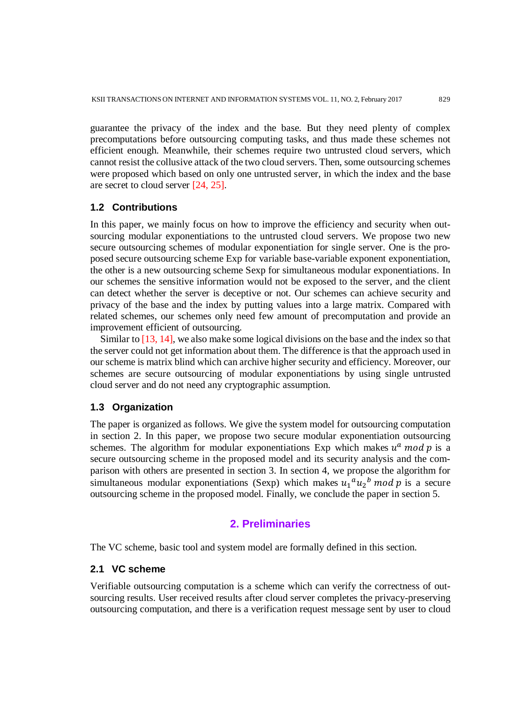guarantee the privacy of the index and the base. But they need plenty of complex precomputations before outsourcing computing tasks, and thus made these schemes not efficient enough. Meanwhile, their schemes require two untrusted cloud servers, which cannot resist the collusive attack of the two cloud servers. Then, some outsourcing schemes were proposed which based on only one untrusted server, in which the index and the base are secret to cloud server [24, 25].

# **1.2 Contributions**

In this paper, we mainly focus on how to improve the efficiency and security when outsourcing modular exponentiations to the untrusted cloud servers. We propose two new secure outsourcing schemes of modular exponentiation for single server. One is the proposed secure outsourcing scheme Exp for variable base-variable exponent exponentiation, the other is a new outsourcing scheme Sexp for simultaneous modular exponentiations. In our schemes the sensitive information would not be exposed to the server, and the client can detect whether the server is deceptive or not. Our schemes can achieve security and privacy of the base and the index by putting values into a large matrix. Compared with related schemes, our schemes only need few amount of precomputation and provide an improvement efficient of outsourcing.

 Similar to [13, 14], we also make some logical divisions on the base and the index so that the server could not get information about them. The difference is that the approach used in our scheme is matrix blind which can archive higher security and efficiency. Moreover, our schemes are secure outsourcing of modular exponentiations by using single untrusted cloud server and do not need any cryptographic assumption.

#### **1.3 Organization**

The paper is organized as follows. We give the system model for outsourcing computation in section 2. In this paper, we propose two secure modular exponentiation outsourcing schemes. The algorithm for modular exponentiations Exp which makes  $u^a$  mod p is a secure outsourcing scheme in the proposed model and its security analysis and the comparison with others are presented in section 3. In section 4, we propose the algorithm for simultaneous modular exponentiations (Sexp) which makes  $u_1^{\alpha} u_2^{\beta}$  mod p is a secure outsourcing scheme in the proposed model. Finally, we conclude the paper in section 5.

# **2. Preliminaries**

The VC scheme, basic tool and system model are formally defined in this section.

# **2.1 VC scheme**

Verifiable outsourcing computation is a scheme which can verify the correctness of outsourcing results. User received results after cloud server completes the privacy-preserving outsourcing computation, and there is a verification request message sent by user to cloud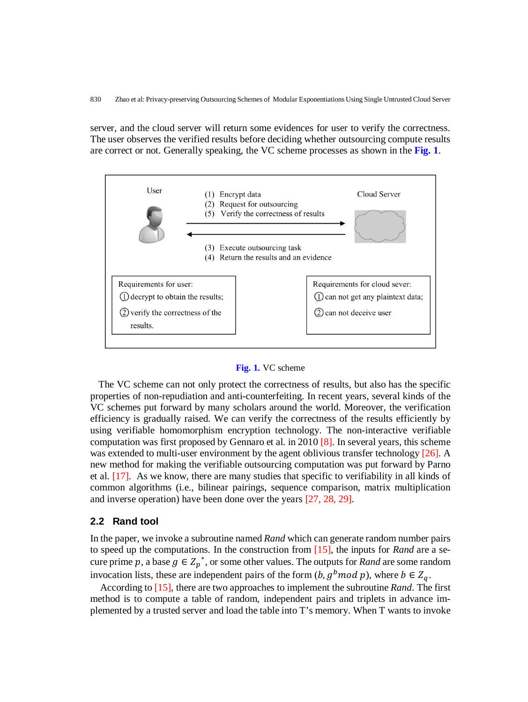830 Zhao et al: Privacy-preserving Outsourcing Schemes of Modular Exponentiations Using Single Untrusted Cloud Server

server, and the cloud server will return some evidences for user to verify the correctness. The user observes the verified results before deciding whether outsourcing compute results are correct or not. Generally speaking, the VC scheme processes as shown in the **Fig. 1**.



#### **Fig. 1.** VC scheme

The VC scheme can not only protect the correctness of results, but also has the specific properties of non-repudiation and anti-counterfeiting. In recent years, several kinds of the VC schemes put forward by many scholars around the world. Moreover, the verification efficiency is gradually raised. We can verify the correctness of the results efficiently by using verifiable homomorphism encryption technology. The non-interactive verifiable computation was first proposed by Gennaro et al. in 2010 [8]. In several years, this scheme was extended to multi-user environment by the agent oblivious transfer technology [26]. A new method for making the verifiable outsourcing computation was put forward by Parno et al. [17]. As we know, there are many studies that specific to verifiability in all kinds of common algorithms (i.e., bilinear pairings, sequence comparison, matrix multiplication and inverse operation) have been done over the years [27, 28, 29].

#### **2.2 Rand tool**

In the paper, we invoke a subroutine named *Rand* which can generate random number pairs to speed up the computations. In the construction from [15], the inputs for *Rand* are a secure prime p, a base  $g \in Z_p^*$ , or some other values. The outputs for *Rand* are some random invocation lists, these are independent pairs of the form  $(b, g^b \mod p)$ , where  $b \in Z_a$ .

According to [15], there are two approaches to implement the subroutine *Rand*. The first method is to compute a table of random, independent pairs and triplets in advance implemented by a trusted server and load the table into T's memory. When T wants to invoke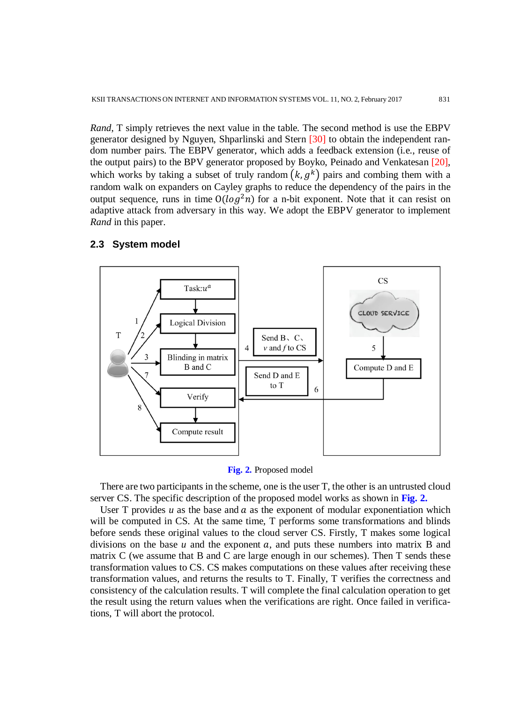*Rand*, T simply retrieves the next value in the table. The second method is use the EBPV generator designed by Nguyen, Shparlinski and Stern [30] to obtain the independent random number pairs. The EBPV generator, which adds a feedback extension (i.e., reuse of the output pairs) to the BPV generator proposed by Boyko, Peinado and Venkatesan [20], which works by taking a subset of truly random  $(k, g^k)$  pairs and combing them with a random walk on expanders on Cayley graphs to reduce the dependency of the pairs in the output sequence, runs in time  $O(log^2 n)$  for a n-bit exponent. Note that it can resist on adaptive attack from adversary in this way. We adopt the EBPV generator to implement *Rand* in this paper.

# **2.3 System model**



#### **Fig. 2.** Proposed model

There are two participants in the scheme, one is the user T, the other is an untrusted cloud server CS. The specific description of the proposed model works as shown in **Fig. 2.**

User  $T$  provides  $u$  as the base and  $a$  as the exponent of modular exponentiation which will be computed in CS. At the same time, T performs some transformations and blinds before sends these original values to the cloud server CS. Firstly, T makes some logical divisions on the base  $u$  and the exponent  $a$ , and puts these numbers into matrix B and matrix C (we assume that B and C are large enough in our schemes). Then T sends these transformation values to CS. CS makes computations on these values after receiving these transformation values, and returns the results to T. Finally, T verifies the correctness and consistency of the calculation results. T will complete the final calculation operation to get the result using the return values when the verifications are right. Once failed in verifications, T will abort the protocol.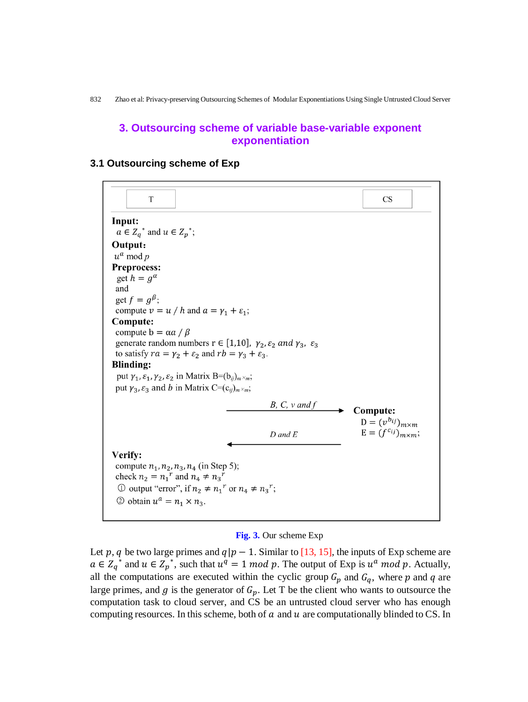832 Zhao et al: Privacy-preserving Outsourcing Schemes of Modular Exponentiations Using Single Untrusted Cloud Server

# **3. Outsourcing scheme of variable base-variable exponent exponentiation**

# **3.1 Outsourcing scheme of Exp**

| T                                                                                                          | CS                               |
|------------------------------------------------------------------------------------------------------------|----------------------------------|
| Input:                                                                                                     |                                  |
| $a \in Z_q^*$ and $u \in Z_p^*$ ;                                                                          |                                  |
| Output:                                                                                                    |                                  |
| $u^a \bmod p$                                                                                              |                                  |
| <b>Preprocess:</b>                                                                                         |                                  |
| get $h = g^{\alpha}$                                                                                       |                                  |
| and                                                                                                        |                                  |
| get $f = g^{\beta}$ ;                                                                                      |                                  |
| compute $v = u / h$ and $a = \gamma_1 + \varepsilon_1$ ;                                                   |                                  |
| <b>Compute:</b>                                                                                            |                                  |
| compute $b = \alpha a / \beta$                                                                             |                                  |
| generate random numbers $r \in [1,10]$ , $\gamma_2$ , $\varepsilon_2$ and $\gamma_3$ , $\varepsilon_3$     |                                  |
| to satisfy $ra = \gamma_2 + \varepsilon_2$ and $rb = \gamma_3 + \varepsilon_3$ .                           |                                  |
| <b>Blinding:</b>                                                                                           |                                  |
| put $\gamma_1$ , $\varepsilon_1$ , $\gamma_2$ , $\varepsilon_2$ in Matrix B= $(b_{ii})_{m \times m}$ ;     |                                  |
| put $\gamma_3$ , $\varepsilon_3$ and b in Matrix C=(c <sub>ij</sub> ) <sub>m</sub> $\times$ <sub>m</sub> ; |                                  |
| $B, C, v \text{ and } f$                                                                                   |                                  |
|                                                                                                            | <b>Compute:</b>                  |
|                                                                                                            | $D = (v^{b_{ij}})_{m \times m}$  |
| $D$ and $E$                                                                                                | $E = (f^{c_{ij}})_{m \times m};$ |
|                                                                                                            |                                  |
| Verify:                                                                                                    |                                  |
| compute $n_1$ , $n_2$ , $n_3$ , $n_4$ (in Step 5);<br>check $n_2 = n_1^r$ and $n_4 \neq n_3^r$             |                                  |
|                                                                                                            |                                  |
| ① output "error", if $n_2 \neq n_1^r$ or $n_4 \neq n_3^r$ ;                                                |                                  |
| 2 obtain $u^a = n_1 \times n_3$ .                                                                          |                                  |
|                                                                                                            |                                  |

## **Fig. 3.** Our scheme Exp

Let p, q be two large primes and  $q$ | $p - 1$ . Similar to [13, 15], the inputs of Exp scheme are  $a \in Z_q^*$  and  $u \in Z_p^*$ , such that  $u^q = 1 \mod p$ . The output of Exp is  $u^q \mod p$ . Actually, all the computations are executed within the cyclic group  $G_p$  and  $G_q$ , where p and q are large primes, and g is the generator of  $G_p$ . Let T be the client who wants to outsource the computation task to cloud server, and CS be an untrusted cloud server who has enough computing resources. In this scheme, both of  $a$  and  $u$  are computationally blinded to CS. In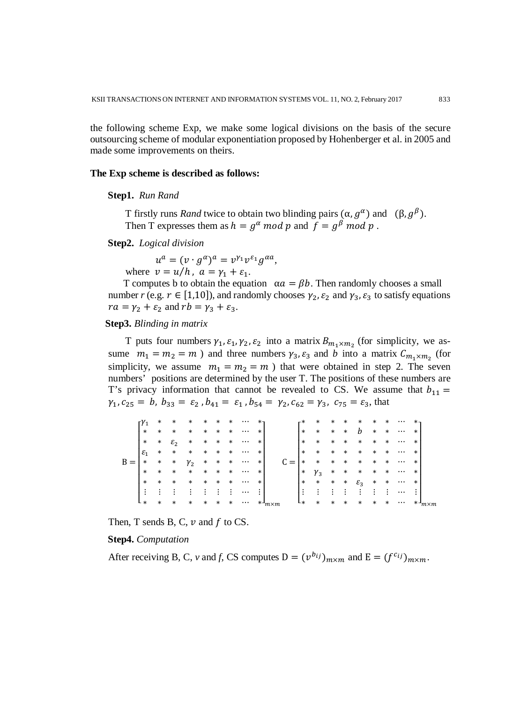the following scheme Exp, we make some logical divisions on the basis of the secure outsourcing scheme of modular exponentiation proposed by Hohenberger et al. in 2005 and made some improvements on theirs.

#### **The Exp scheme is described as follows:**

#### **Step1.** *Run Rand*

T firstly runs *Rand* twice to obtain two blinding pairs  $(\alpha, g^{\alpha})$  and  $(\beta, g^{\beta})$ . Then T expresses them as  $h = g^{\alpha} \mod p$  and  $f = g^{\beta} \mod p$ .

#### **Step2.** *Logical division*

 $u^a = (v \cdot g^{\alpha})^a = v^{\gamma_1} v^{\varepsilon_1} g^{\alpha a},$ 

where  $v = u/h$ ,  $a = \gamma_1 + \varepsilon_1$ .

T computes b to obtain the equation  $\alpha a = \beta b$ . Then randomly chooses a small number  $r$  (e.g.  $r \in [1,10]$ ), and randomly chooses  $\gamma_2$ ,  $\varepsilon_2$  and  $\gamma_3$ ,  $\varepsilon_3$  to satisfy equations  $ra = \gamma_2 + \varepsilon_2$  and  $rb = \gamma_3 + \varepsilon_3$ .

#### **Step3.** *Blinding in matrix*

T puts four numbers  $\gamma_1, \varepsilon_1, \gamma_2, \varepsilon_2$  into a matrix  $B_{m_1 \times m_2}$  (for simplicity, we assume  $m_1 = m_2 = m$ ) and three numbers  $\gamma_3$ ,  $\varepsilon_3$  and *b* into a matrix  $C_{m_1 \times m_2}$  (for simplicity, we assume  $m_1 = m_2 = m$ ) that were obtained in step 2. The seven numbers' positions are determined by the user T. The positions of these numbers are T's privacy information that cannot be revealed to CS. We assume that  $b_{11} =$  $\gamma_1$ ,  $c_{25} = b$ ,  $b_{33} = \varepsilon_2$ ,  $b_{41} = \varepsilon_1$ ,  $b_{54} = \gamma_2$ ,  $c_{62} = \gamma_3$ ,  $c_{75} = \varepsilon_3$ , that

|                 | ∗      | ж             | ∗          | ж      | ж | *      | $\cdots$ |        |     |        | ж          | ж      | ж      | ∗               | ж      |        |          |   |
|-----------------|--------|---------------|------------|--------|---|--------|----------|--------|-----|--------|------------|--------|--------|-----------------|--------|--------|----------|---|
| $\ast$          | *      | *             | ∗          | *      | * | *      | $\cdots$ | ж      |     | $\ast$ | $\ast$     | *      | $\ast$ | h               | *      | *      | $\cdots$ |   |
| $\ast$          | ∗      | $\varepsilon$ | ∗          | ∗      | ∗ | ∗      | $\cdots$ | $\ast$ |     | $\ast$ | $\ast$     | *      | ∗      | ∗               | ∗      | *      | $\cdots$ |   |
| $\varepsilon_1$ | $\ast$ | ∗             | ∗          | *      | * | $\ast$ | $\cdots$ | $\ast$ |     | $\ast$ | $\ast$     | *      | ∗      | ∗               | $\ast$ | $\ast$ | $\cdots$ | ж |
| *               | $\ast$ | ∗             | $\gamma_2$ | $\ast$ | * | $\ast$ | $\cdots$ | *      | $=$ | $\ast$ | $\ast$     | *      | $\ast$ | *               | *      | *      | $\cdots$ |   |
| $\ast$          | *      | $\ast$        | $\ast$     | *      | * | $\ast$ | $\cdots$ | *      |     | $\ast$ | $\gamma_3$ | $\ast$ | $\ast$ | $\ast$          | *      | *      | $\cdots$ |   |
| $\ast$          | $\ast$ | ∗             | ∗          | *      | ∗ | $\ast$ | $\cdots$ | ж      |     | $\ast$ | $\ast$     | $\ast$ | $*$    | $\varepsilon_3$ | $\ast$ | *      | $\cdots$ | ∗ |
| ٠               |        |               |            |        |   |        | $\cdots$ |        |     |        |            |        |        |                 |        |        | $\cdots$ |   |
| L ∗             | *      | ∗             | $\ast$     | $\ast$ | * | $\ast$ | $\cdots$ |        |     | L*     | $\ast$     | *      | $\ast$ | *               | $\ast$ | *      | $\cdots$ |   |

Then, T sends B, C,  $\nu$  and  $f$  to CS.

#### **Step4.** *Computation*

After receiving B, C, *v* and *f*, CS computes  $D = (v^{b_{ij}})_{m \times m}$  and  $E = (f^{c_{ij}})_{m \times m}$ .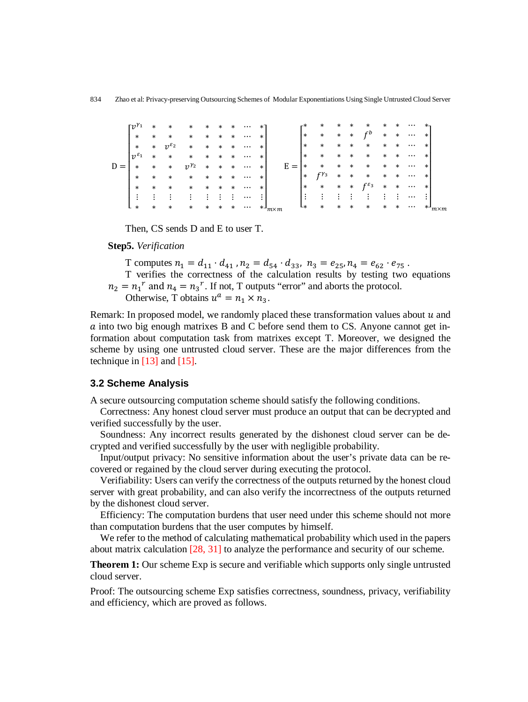|       | г $v^{\gamma_1}$    | *      | *      | ∗              | *      | ∗      | ж      | $\cdots$ |        |       |           | *      |        | ж      | ж                | ∗      | ж      |          |        |
|-------|---------------------|--------|--------|----------------|--------|--------|--------|----------|--------|-------|-----------|--------|--------|--------|------------------|--------|--------|----------|--------|
|       | $\ast$              | ∗      | *      | *              | *      | $\ast$ | $\ast$ | $\cdots$ | ж      |       | $\ast$    | $\ast$ | $\ast$ | *      | fb               | $\ast$ | *      | $\cdots$ |        |
|       | $\ast$              | $\ast$ | 2      | $\ast$         | $\ast$ | $\ast$ | $\ast$ | $\cdots$ | ж      |       | $\ast$    | *      | $\ast$ | *      | *                | *      | *      | $\cdots$ |        |
|       | $v^{\varepsilon_1}$ | $\ast$ | *      | *              | *      | $\ast$ | *      | $\cdots$ | $\ast$ |       | $\ast$    | $\ast$ | *      | *      | *                | *      | *      | $\cdots$ |        |
| $D =$ | $\ast$              | $\ast$ | *      | $v^{\gamma_2}$ | *      | $\ast$ | $\ast$ | $\cdots$ | $\ast$ | $E =$ | $\ast$    | $\ast$ | $\ast$ | *      | *                | *      | *      | $\cdots$ |        |
|       | $\ast$              | $\ast$ | *      | *              | $\ast$ | $\ast$ | $\ast$ | $\cdots$ | $\ast$ |       | $\ast$    | $fY_3$ | $\ast$ | *      | *                | *      | *      | $\cdots$ |        |
|       | $\ast$              | $\ast$ | $\ast$ | *              | $\ast$ | $\ast$ | $\ast$ | $\cdots$ | ∗      |       | $\ast$    | $\ast$ | $\ast$ | $\ast$ | $f\varepsilon_3$ | $\ast$ | $\ast$ | $\cdots$ | $\ast$ |
|       |                     |        |        |                |        |        |        | $\cdots$ |        |       | $\bullet$ |        |        |        | ٠                |        | ٠      | $\cdots$ |        |
|       | $\ast$              | $\ast$ | $\ast$ | *              | $\ast$ | $\ast$ | $\ast$ | $\cdots$ | *      |       | L∗,       | *      | *      | *      | $\ast$           | $\ast$ | ∗      | $\cdots$ |        |

Then, CS sends D and E to user T.

#### **Step5.** *Verification*

T computes  $n_1 = d_{11} \cdot d_{41}$ ,  $n_2 = d_{54} \cdot d_{33}$ ,  $n_3 = e_{25}$ ,  $n_4 = e_{62} \cdot e_{75}$ . T verifies the correctness of the calculation results by testing two equations  $n_2 = n_1^r$  and  $n_4 = n_3^r$ . If not, T outputs "error" and aborts the protocol.

Otherwise, T obtains  $u^a = n_1 \times n_3$ .

Remark: In proposed model, we randomly placed these transformation values about  $u$  and  $\alpha$  into two big enough matrixes B and C before send them to CS. Anyone cannot get information about computation task from matrixes except T. Moreover, we designed the scheme by using one untrusted cloud server. These are the major differences from the technique in  $[13]$  and  $[15]$ .

#### **3.2 Scheme Analysis**

A secure outsourcing computation scheme should satisfy the following conditions.

Correctness: Any honest cloud server must produce an output that can be decrypted and verified successfully by the user.

Soundness: Any incorrect results generated by the dishonest cloud server can be decrypted and verified successfully by the user with negligible probability.

Input/output privacy: No sensitive information about the user's private data can be recovered or regained by the cloud server during executing the protocol.

Verifiability: Users can verify the correctness of the outputs returned by the honest cloud server with great probability, and can also verify the incorrectness of the outputs returned by the dishonest cloud server.

Efficiency: The computation burdens that user need under this scheme should not more than computation burdens that the user computes by himself.

We refer to the method of calculating mathematical probability which used in the papers about matrix calculation [28, 31] to analyze the performance and security of our scheme.

**Theorem 1:** Our scheme Exp is secure and verifiable which supports only single untrusted cloud server.

Proof: The outsourcing scheme Exp satisfies correctness, soundness, privacy, verifiability and efficiency, which are proved as follows.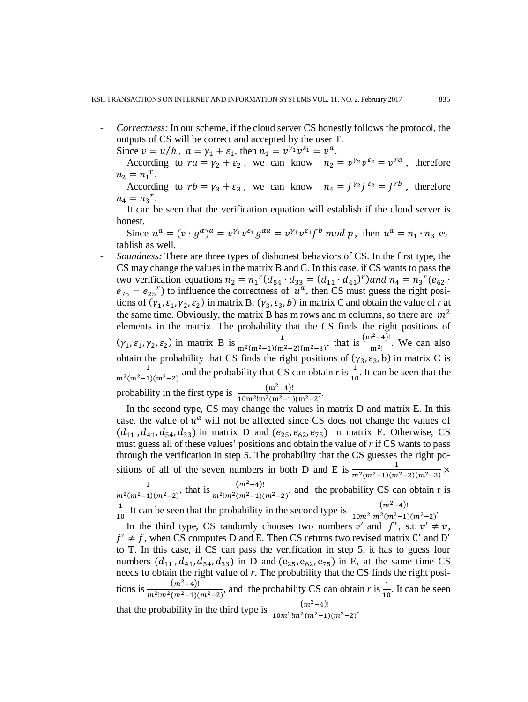- *Correctness:* In our scheme, if the cloud server CS honestly follows the protocol, the outputs of CS will be correct and accepted by the user T.

Since  $v = u/h$ ,  $a = \gamma_1 + \varepsilon_1$ , then  $n_1 = v^{\gamma_1}v^{\varepsilon_1} = v^a$ .

According to  $ra = \gamma_2 + \varepsilon_2$ , we can know  $n_2 = v^{\gamma_2}v^{\varepsilon_2} = v^{ra}$ , therefore  $n_2 = n_1^r$ .

According to  $rb = \gamma_3 + \varepsilon_3$ , we can know  $n_4 = f^{\gamma_2} f^{\varepsilon_2} = f^{rb}$ , therefore  $n_4 = n_3^r$ .

 It can be seen that the verification equation will establish if the cloud server is honest.

Since  $u^a = (v \cdot g^a)^a = v^{\gamma_1} v^{\epsilon_1} g^{aa} = v^{\gamma_1} v^{\epsilon_1} f^b \mod p$ , then  $u^a = n_1 \cdot n_3$  establish as well.

- *Soundness:* There are three types of dishonest behaviors of CS. In the first type, the CS may change the values in the matrix B and C. In this case, if CS wants to pass the two verification equations  $n_2 = n_1^r (d_{54} \cdot d_{33} = (d_{11} \cdot d_{41})^r)$  and  $n_4 = n_3^r (e_{62} \cdot$  $e_{75} = e_{25}^{\text{r}}$  to influence the correctness of  $u^a$ , then CS must guess the right positions of  $(\gamma_1, \varepsilon_1, \gamma_2, \varepsilon_2)$  in matrix B,  $(\gamma_3, \varepsilon_3, b)$  in matrix C and obtain the value of *r* at the same time. Obviously, the matrix B has m rows and m columns, so there are  $m<sup>2</sup>$ elements in the matrix. The probability that the CS finds the right positions of  $(\gamma_1, \varepsilon_1, \gamma_2, \varepsilon_2)$  in matrix B is  $\frac{1}{m^2(m^2-1)(m^2-2)(m^2-3)}$ , that is  $\frac{(m^2-4)!}{m^2!}$ . We can also obtain the probability that CS finds the right positions of  $(\gamma_3, \epsilon_3, b)$  in matrix C is  $\frac{1}{\text{m}^2(\text{m}^2-1)(\text{m}^2-2)}$  and the probability that CS can obtain r is  $\frac{1}{10}$ . It can be seen that the probability in the first type is  $\frac{(m^2-4)!}{10m^2!m^2(m^2-1)(m^2-2)}$ .

In the second type, CS may change the values in matrix D and matrix E. In this case, the value of  $u^a$  will not be affected since CS does not change the values of  $(d_{11}, d_{41}, d_{54}, d_{33})$  in matrix D and  $(e_{25}, e_{62}, e_{75})$  in matrix E. Otherwise, CS must guess all of these values' positions and obtain the value of *r* if CS wants to pass through the verification in step 5. The probability that the CS guesses the right positions of all of the seven numbers in both D and E is  $\frac{1}{m^2(m^2-1)(m^2-2)(m^2-3)} \times$ 1  $\frac{1}{m^2(m^2-1)(m^2-2)}$ , that is  $\frac{(m^2-4)!}{m^2(m^2-1)(m^2-2)}$ , and the probability CS can obtain r is  $\frac{1}{10}$ . It can be seen that the probability in the second type is  $\frac{(m^2-4)!}{10m^2!m^2(m^2-1)(m^2-2)}$ . In the third type, CS randomly chooses two numbers  $v'$  and  $f'$ , s.t.  $v' \neq v$ ,  $f' \neq f$ , when CS computes D and E. Then CS returns two revised matrix C' and D' to T. In this case, if CS can pass the verification in step 5, it has to guess four numbers  $(d_{11}, d_{41}, d_{54}, d_{33})$  in D and  $(e_{25}, e_{62}, e_{75})$  in E, at the same time CS needs to obtain the right value of *r*. The probability that the CS finds the right positions is  $\frac{(m^2-4)!}{m^2(m^2-1)(m^2-2)}$ , and the probability CS can obtain *r* is  $\frac{1}{10}$ . It can be seen that the probability in the third type is  $\frac{(m^2-4)!}{10m^2!m^2(m^2-1)(m^2-2)}$ .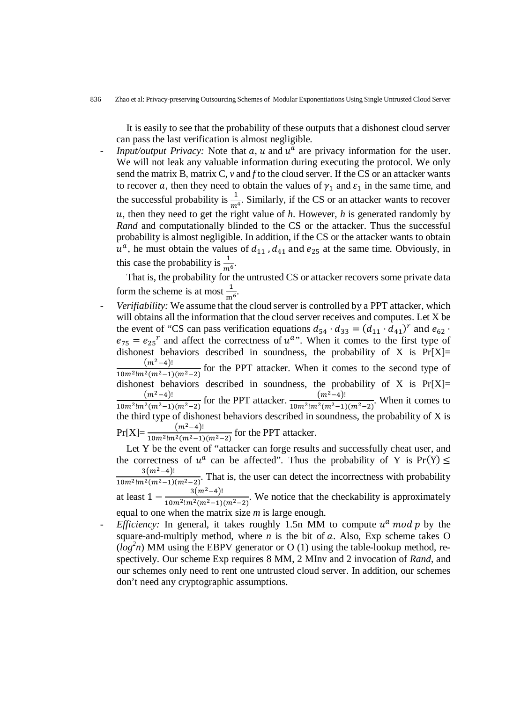It is easily to see that the probability of these outputs that a dishonest cloud server can pass the last verification is almost negligible.

*Input/output Privacy:* Note that  $a$ ,  $u$  and  $u^a$  are privacy information for the user. We will not leak any valuable information during executing the protocol. We only send the matrix B, matrix C, *v* and *f* to the cloud server. If the CS or an attacker wants to recover a, then they need to obtain the values of  $\gamma_1$  and  $\varepsilon_1$  in the same time, and the successful probability is  $\frac{1}{m^4}$ . Similarly, if the CS or an attacker wants to recover , then they need to get the right value of *h*. However, *h* is generated randomly by *Rand* and computationally blinded to the CS or the attacker. Thus the successful probability is almost negligible. In addition, if the CS or the attacker wants to obtain  $u^a$ , he must obtain the values of  $d_{11}$ ,  $d_{41}$  and  $e_{25}$  at the same time. Obviously, in this case the probability is  $\frac{1}{m^6}$ .

That is, the probability for the untrusted CS or attacker recovers some private data form the scheme is at most  $\frac{1}{m^6}$ .

*Verifiability:* We assume that the cloud server is controlled by a PPT attacker, which will obtains all the information that the cloud server receives and computes. Let X be the event of "CS can pass verification equations  $d_{54} \cdot d_{33} = (d_{11} \cdot d_{41})^r$  and  $e_{62} \cdot$  $e_{75} = e_{25}^{\text{r}}$  and affect the correctness of  $u^{a}$ . When it comes to the first type of dishonest behaviors described in soundness, the probability of X is  $Pr[X]$  $\frac{(m^2-4)!}{10m^2!m^2(m^2-1)(m^2-2)}$  for the PPT attacker. When it comes to the second type of dishonest behaviors described in soundness, the probability of  $X$  is  $Pr[X]=$  $\frac{(m^2-4)!}{10m^2!m^2(m^2-1)(m^2-2)}$  for the PPT attacker.  $\frac{(m^2-4)!}{10m^2!m^2(m^2-1)(m^2-2)}$ . When it comes to the third type of dishonest behaviors described in soundness, the probability of X is  $Pr[X] = \frac{(m^2-4)!}{10m^2!m^2(m^2-1)(m^2-2)}$  for the PPT attacker.

Let Y be the event of "attacker can forge results and successfully cheat user, and the correctness of  $u^a$  can be affected". Thus the probability of Y is Pr(Y)  $\leq$  $3(m^2-4)!$  $\frac{10m^2(m^2-1)(m^2-2)}{10m^2(m^2-1)(m^2-2)}$ . That is, the user can detect the incorrectness with probability at least  $1 - \frac{3(m^2-4)!}{10m^2(m^2-1)(m^2-2)}$ . We notice that the checkability is approximately equal to one when the matrix size *m* is large enough.

*Efficiency:* In general, it takes roughly 1.5n MM to compute  $u^a$  mod p by the square-and-multiply method, where  $n$  is the bit of  $a$ . Also, Exp scheme takes O  $(log<sup>2</sup>n)$  MM using the EBPV generator or O (1) using the table-lookup method, respectively. Our scheme Exp requires 8 MM, 2 MInv and 2 invocation of *Rand*, and our schemes only need to rent one untrusted cloud server. In addition, our schemes don't need any cryptographic assumptions.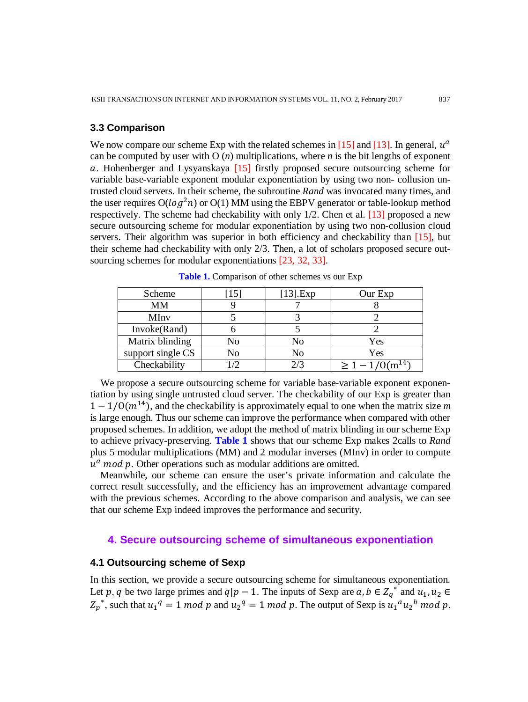#### **3.3 Comparison**

We now compare our scheme Exp with the related schemes in [15] and [13]. In general,  $u^a$ can be computed by user with O (*n*) multiplications, where *n* is the bit lengths of exponent . Hohenberger and Lysyanskaya [15] firstly proposed secure outsourcing scheme for variable base-variable exponent modular exponentiation by using two non- collusion untrusted cloud servers. In their scheme, the subroutine *Rand* was invocated many times, and the user requires  $O(log^2 n)$  or  $O(1)$  MM using the EBPV generator or table-lookup method respectively. The scheme had checkability with only 1/2. Chen et al. [13] proposed a new secure outsourcing scheme for modular exponentiation by using two non-collusion cloud servers. Their algorithm was superior in both efficiency and checkability than [15], but their scheme had checkability with only 2/3. Then, a lot of scholars proposed secure outsourcing schemes for modular exponentiations [23, 32, 33].

| Scheme            | LČ | [13].Exp | Our Exp                           |  |  |  |  |
|-------------------|----|----------|-----------------------------------|--|--|--|--|
| <b>MM</b>         |    |          |                                   |  |  |  |  |
| MIny              |    |          |                                   |  |  |  |  |
| Invoke(Rand)      |    |          |                                   |  |  |  |  |
| Matrix blinding   | No | No       | Yes                               |  |  |  |  |
| support single CS | No | No       | Yes                               |  |  |  |  |
| Checkability      |    | 2/3      | $\geq 1 - 1/0$ (m <sup>14</sup> ) |  |  |  |  |

Table 1. Comparison of other schemes vs our Exp

 We propose a secure outsourcing scheme for variable base-variable exponent exponentiation by using single untrusted cloud server. The checkability of our Exp is greater than  $1 - 1/0$ ( $m<sup>14</sup>$ ), and the checkability is approximately equal to one when the matrix size *m* is large enough. Thus our scheme can improve the performance when compared with other proposed schemes. In addition, we adopt the method of matrix blinding in our scheme Exp to achieve privacy-preserving. **Table 1** shows that our scheme Exp makes 2calls to *Rand* plus 5 modular multiplications (MM) and 2 modular inverses (MInv) in order to compute  $u^a$  mod p. Other operations such as modular additions are omitted.

Meanwhile, our scheme can ensure the user's private information and calculate the correct result successfully, and the efficiency has an improvement advantage compared with the previous schemes. According to the above comparison and analysis, we can see that our scheme Exp indeed improves the performance and security.

# **4. Secure outsourcing scheme of simultaneous exponentiation**

# **4.1 Outsourcing scheme of Sexp**

In this section, we provide a secure outsourcing scheme for simultaneous exponentiation. Let p, q be two large primes and  $q|p-1$ . The inputs of Sexp are  $a, b \in Z_q^*$  and  $u_1, u_2 \in$  $Z_p^*$ , such that  $u_1^q = 1 \mod p$  and  $u_2^q = 1 \mod p$ . The output of Sexp is  $u_1^q u_2^q \mod p$ .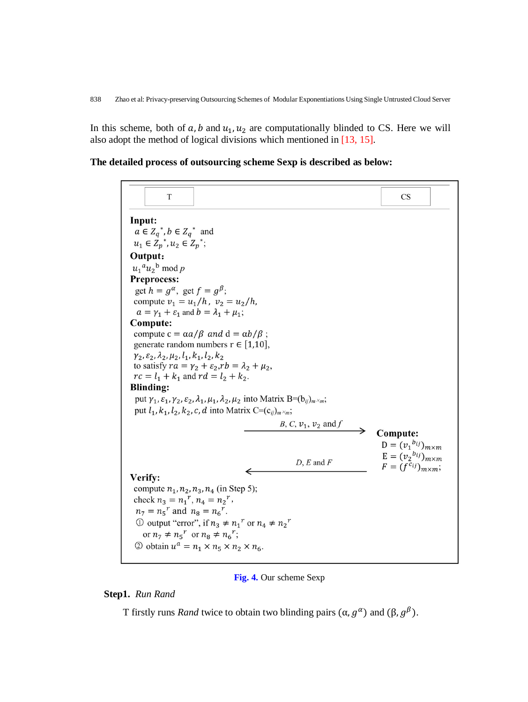In this scheme, both of  $a$ ,  $b$  and  $u_1$ ,  $u_2$  are computationally blinded to CS. Here we will also adopt the method of logical divisions which mentioned in [13, 15].

**The detailed process of outsourcing scheme Sexp is described as below:**

| T                                                                                                                                                                              | CS                                |  |
|--------------------------------------------------------------------------------------------------------------------------------------------------------------------------------|-----------------------------------|--|
| Input:<br>$a \in Z_a^*$ , $b \in Z_a^*$ and<br>$u_1 \in Z_p^*$ , $u_2 \in Z_p^*$ ;                                                                                             |                                   |  |
| Output:                                                                                                                                                                        |                                   |  |
| $u_1^{\ a}u_2^{\ b} \bmod p$                                                                                                                                                   |                                   |  |
| <b>Preprocess:</b>                                                                                                                                                             |                                   |  |
| get $h = g^{\alpha}$ , get $f = g^{\beta}$ ;                                                                                                                                   |                                   |  |
| compute $v_1 = u_1/h$ , $v_2 = u_2/h$ ,                                                                                                                                        |                                   |  |
| $a = \gamma_1 + \varepsilon_1$ and $b = \lambda_1 + \mu_1$ ;                                                                                                                   |                                   |  |
| Compute:                                                                                                                                                                       |                                   |  |
| compute $c = \alpha a/\beta$ and $d = \alpha b/\beta$ ;<br>generate random numbers $r \in [1,10]$ ,                                                                            |                                   |  |
| $\gamma_2, \varepsilon_2, \lambda_2, \mu_2, l_1, k_1, l_2, k_2$                                                                                                                |                                   |  |
| to satisfy $ra = \gamma_2 + \varepsilon_2$ , $rb = \lambda_2 + \mu_2$ ,                                                                                                        |                                   |  |
| $rc = l_1 + k_1$ and $rd = l_2 + k_2$ .                                                                                                                                        |                                   |  |
| <b>Blinding:</b>                                                                                                                                                               |                                   |  |
| put $\gamma_1$ , $\varepsilon_1$ , $\gamma_2$ , $\varepsilon_2$ , $\lambda_1$ , $\mu_1$ , $\lambda_2$ , $\mu_2$ into Matrix B=(b <sub>ii</sub> ) <sub>m</sub> × <sub>m</sub> ; |                                   |  |
| put $l_1, k_1, l_2, k_2, c, d$ into Matrix C=(c <sub>ii</sub> ) <sub>m</sub> × <sub>m</sub> ;                                                                                  |                                   |  |
| B, C, $v_1$ , $v_2$ and f                                                                                                                                                      |                                   |  |
|                                                                                                                                                                                | <b>Compute:</b>                   |  |
|                                                                                                                                                                                | $D = (v_1^{b_{ij}})_{m \times m}$ |  |
|                                                                                                                                                                                | $E = (v_2^{b_{ij}})_{m \times m}$ |  |
| $D, E$ and $F$                                                                                                                                                                 | $F = (f^{c_{ij}})_{m \times m};$  |  |
| Verify:                                                                                                                                                                        |                                   |  |
| compute $n_1, n_2, n_3, n_4$ (in Step 5);                                                                                                                                      |                                   |  |
| check $n_3 = n_1^r$ , $n_4 = n_2^r$ ,                                                                                                                                          |                                   |  |
| $n_7 = n_5^{\ r}$ and $n_8 = n_6^{\ r}$ .                                                                                                                                      |                                   |  |
| ① output "error", if $n_3 \neq n_1^r$ or $n_4 \neq n_2^r$                                                                                                                      |                                   |  |
| or $n_7 \neq n_5^r$ or $n_8 \neq n_6^r$ ;                                                                                                                                      |                                   |  |
| 2 obtain $u^a = n_1 \times n_5 \times n_2 \times n_6$ .                                                                                                                        |                                   |  |

**Fig. 4.** Our scheme Sexp

# **Step1.** *Run Rand*

T firstly runs *Rand* twice to obtain two blinding pairs  $(\alpha, g^{\alpha})$  and  $(\beta, g^{\beta})$ .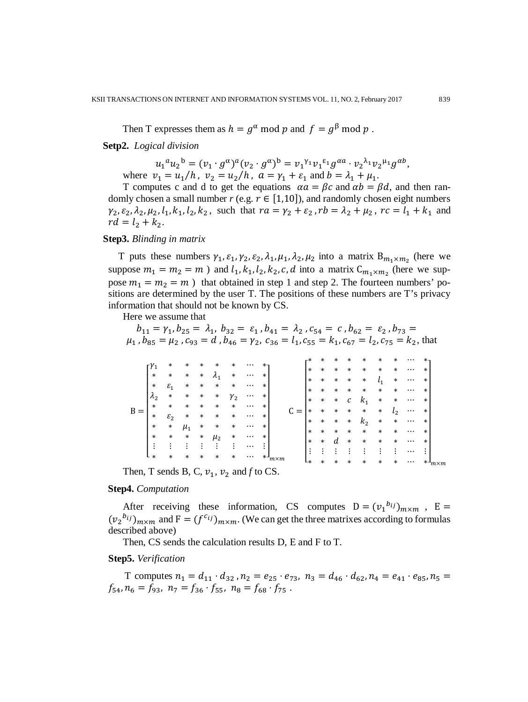Then T expresses them as  $h = g^{\alpha} \mod p$  and  $f = g^{\beta} \mod p$ .

**Setp2.** *Logical division*

$$
u_1^a u_2^b = (v_1 \cdot g^\alpha)^a (v_2 \cdot g^\alpha)^b = v_1^{\gamma_1} v_1^{\epsilon_1} g^{\alpha a} \cdot v_2^{\lambda_1} v_2^{\mu_1} g^{\alpha b},
$$
  
where  $v_1 = u_1/h$ ,  $v_2 = u_2/h$ ,  $a = \gamma_1 + \varepsilon_1$  and  $b = \lambda_1 + \mu_1$ .

T computes c and d to get the equations  $\alpha a = \beta c$  and  $\alpha b = \beta d$ , and then randomly chosen a small number  $r$  (e.g.  $r \in [1,10]$ ), and randomly chosen eight numbers  $\gamma_2$ ,  $\varepsilon_2$ ,  $\lambda_2$ ,  $\mu_2$ ,  $l_1$ ,  $k_1$ ,  $l_2$ ,  $k_2$ , such that  $ra = \gamma_2 + \varepsilon_2$ ,  $rb = \lambda_2 + \mu_2$ ,  $rc = l_1 + k_1$  and  $rd = l_2 + k_2.$ 

#### **Step3.** *Blinding in matrix*

T puts these numbers  $\gamma_1$ ,  $\varepsilon_1$ ,  $\gamma_2$ ,  $\varepsilon_2$ ,  $\lambda_1$ ,  $\mu_1$ ,  $\lambda_2$ ,  $\mu_2$  into a matrix  $B_{m_1 \times m_2}$  (here we suppose  $m_1 = m_2 = m$ ) and  $l_1, k_1, l_2, k_2, c, d$  into a matrix  $C_{m_1 \times m_2}$  (here we suppose  $m_1 = m_2 = m$ ) that obtained in step 1 and step 2. The fourteen numbers' positions are determined by the user T. The positions of these numbers are T's privacy information that should not be known by CS.

Here we assume that

$$
b_{11} = \gamma_1, b_{25} = \lambda_1, b_{32} = \varepsilon_1, b_{41} = \lambda_2, c_{54} = c, b_{62} = \varepsilon_2, b_{73} = \mu_1, b_{85} = \mu_2, c_{93} = d, b_{46} = \gamma_2, c_{36} = l_1, c_{55} = k_1, c_{67} = l_2, c_{75} = k_2
$$
, that

|       |               | ∗               | *         |        | $\ast$          | *      | $\cdots$ |        |     |           | ∗      |        | ж      | ж               | ∗       | ж      |          |   |
|-------|---------------|-----------------|-----------|--------|-----------------|--------|----------|--------|-----|-----------|--------|--------|--------|-----------------|---------|--------|----------|---|
|       | г $\gamma_1$  |                 |           | ∗      |                 |        |          |        |     | $\ast$    | ∗      | ∗      | *      | *               | *       | $\ast$ | $\cdots$ |   |
|       | $\ast$        | $\ast$          | *         | $\ast$ | $\mathcal{A}_1$ | $\ast$ | $\cdots$ | ж      |     | $\ast$    | $\ast$ | *      | *      | *               | $l_{1}$ | *      | $\cdots$ | ж |
|       | $\ast$        | $\varepsilon_1$ | *         | *      | *               | $\ast$ | $\cdots$ | $\ast$ |     | $\ast$    | $\ast$ | ∗      | *      | *               | $\ast$  | *      | $\cdots$ |   |
|       | $\lambda_{2}$ | $\ast$          | *         | $\ast$ | *               | Y2     | $\cdots$ | $\ast$ |     | $\ast$    | $\ast$ | $\ast$ | C      | $\mathcal{K}_1$ | $\ast$  | $\ast$ |          |   |
| $B =$ | $\ast$        | $\ast$          | *         | *      | $\ast$          | $\ast$ | $\cdots$ | $\ast$ | $=$ | $\ast$    | ∗      | ∗      | *      | $\ast$          | $\ast$  |        | $\cdots$ | * |
|       | $\ast$        | $\varepsilon_2$ | *         | *      | *               | $\ast$ | $\cdots$ | ж      |     | $\ast$    | $\ast$ |        | *      |                 |         | しっ     | $\cdots$ | ж |
|       | $\ast$        | $\ast$          | $\mu_{1}$ | *      | *               | $\ast$ | $\cdots$ | $\ast$ |     |           |        | ∗      |        | $k_{2}$         | $\ast$  | ∗      |          |   |
|       | *             | $\ast$          | $\ast$    | ∗      | $\mu_{2}$       | ∗      | $\cdots$ | $\ast$ |     | $\ast$    | $\ast$ | *      | *      | $\ast$          | $\ast$  | $\ast$ | $\cdots$ |   |
|       | ٠             | ٠               | ٠         |        | ٠               | ٠      | $\cdots$ |        |     | $\ast$    | $\ast$ | a      | $\ast$ | *               | $\ast$  | *      | $\cdots$ | ж |
|       | L ∗           | *               | *         | *      | *               | $\ast$ | $\cdots$ | ∗-     |     | $\bullet$ |        |        |        |                 |         | ٠      | $\cdots$ |   |
|       |               |                 |           |        |                 |        |          | m×m    |     | L∗,       | $\ast$ | $\ast$ | *      | *               | $\ast$  | $\ast$ | $\cdots$ |   |

Then, T sends B, C,  $v_1$ ,  $v_2$  and f to CS.

#### **Step4.** *Computation*

After receiving these information, CS computes  $D = (v_1^{b_{ij}})_{m \times m}$ ,  $E =$  $(v_2^{b_{ij}})_{m \times m}$  and  $F = (f^{c_{ij}})_{m \times m}$ . (We can get the three matrixes according to formulas described above)

Then, CS sends the calculation results D, E and F to T.

#### **Step5.** *Verification*

T computes  $n_1 = d_{11} \cdot d_{32}$ ,  $n_2 = e_{25} \cdot e_{73}$ ,  $n_3 = d_{46} \cdot d_{62}$ ,  $n_4 = e_{41} \cdot e_{85}$ ,  $n_5 =$  $f_{54}, n_6 = f_{93}, n_7 = f_{36} \cdot f_{55}, n_8 = f_{68} \cdot f_{75}.$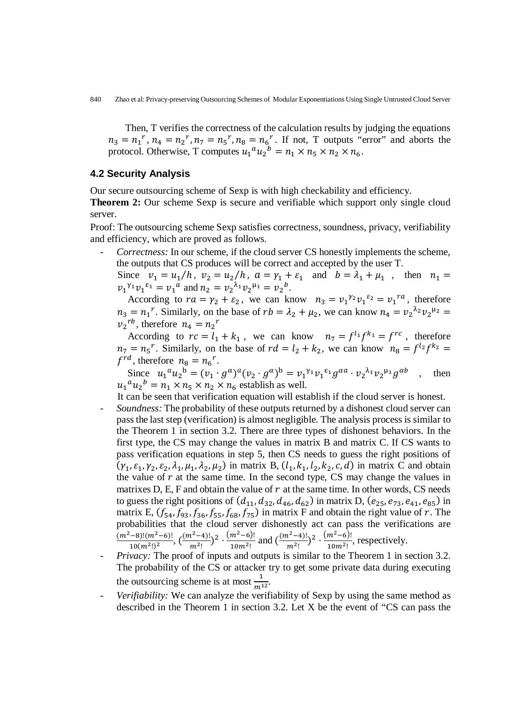Then, T verifies the correctness of the calculation results by judging the equations  $n_3 = n_1^r$ ,  $n_4 = n_2^r$ ,  $n_7 = n_5^r$ ,  $n_8 = n_6^r$ . If not, T outputs "error" and aborts the protocol. Otherwise, T computes  $u_1^a u_2^b = n_1 \times n_5 \times n_2 \times n_6$ .

#### **4.2 Security Analysis**

Our secure outsourcing scheme of Sexp is with high checkability and efficiency.

**Theorem 2:** Our scheme Sexp is secure and verifiable which support only single cloud server.

Proof: The outsourcing scheme Sexp satisfies correctness, soundness, privacy, verifiability and efficiency, which are proved as follows.

- *Correctness:* In our scheme, if the cloud server CS honestly implements the scheme, the outputs that CS produces will be correct and accepted by the user T.

Since  $v_1 = u_1/h$ ,  $v_2 = u_2/h$ ,  $a = \gamma_1 + \varepsilon_1$  and  $b = \lambda_1 + \mu_1$ , then  $n_1 =$  $v_1^{\gamma_1} v_1^{\epsilon_1} = v_1^{\alpha}$  and  $n_2 = v_2^{\lambda_1} v_2^{\mu_1} = v_2^{\mu_2}$ .

According to  $ra = \gamma_2 + \varepsilon_2$ , we can know  $n_3 = v_1^{\gamma_2} v_1^{\varepsilon_2} = v_1^{ra}$ , therefore  $n_3 = n_1^r$ . Similarly, on the base of  $rb = \lambda_2 + \mu_2$ , we can know  $n_4 = \nu_2^{\lambda_2} \nu_2^{\mu_2}$  $v_2^{\ r}$ , therefore  $n_4 = n_2^{\ r}$ 

According to  $rc = l_1 + k_1$ , we can know  $n_7 = f^{l_1} f^{k_1} = f^{rc}$ , therefore  $n_7 = n_5^r$ . Similarly, on the base of  $rd = l_2 + k_2$ , we can know  $n_8 = f^{l_2} f^{k_2}$  $f^{rd}$ , therefore  $n_8 = n_6^r$ .

Since  $u_1^a u_2^b = (v_1 \cdot g^{\alpha})^a (v_2 \cdot g^{\alpha})^b = v_1^{\gamma_1} v_1^{\epsilon_1} g^{\alpha a} \cdot v_2^{\lambda_1} v_2^{\mu_1} g^{\alpha b}$ , then  $u_1^{\ a} u_2^{\ b} = n_1 \times n_5 \times n_2 \times n_6$  establish as well.

It can be seen that verification equation will establish if the cloud server is honest.

- Soundness: The probability of these outputs returned by a dishonest cloud server can pass the last step (verification) is almost negligible. The analysis process is similar to the Theorem 1 in section 3.2. There are three types of dishonest behaviors. In the first type, the CS may change the values in matrix B and matrix C. If CS wants to pass verification equations in step 5, then CS needs to guess the right positions of  $(\gamma_1, \varepsilon_1, \gamma_2, \varepsilon_2, \lambda_1, \mu_1, \lambda_2, \mu_2)$  in matrix B,  $(l_1, k_1, l_2, k_2, c, d)$  in matrix C and obtain the value of  $r$  at the same time. In the second type, CS may change the values in matrixes  $D$ ,  $E$ ,  $F$  and obtain the value of  $r$  at the same time. In other words, CS needs to guess the right positions of  $(d_{11}, d_{32}, d_{46}, d_{62})$  in matrix D,  $(e_{25}, e_{73}, e_{41}, e_{85})$  in matrix E,  $(f_{54}, f_{93}, f_{36}, f_{55}, f_{68}, f_{75})$  in matrix F and obtain the right value of r. The probabilities that the cloud server dishonestly act can pass the verifications are  $\frac{(m^2-8)!(m^2-6)!}{10(m^2!)^2}$ ,  $\left(\frac{(m^2-4)!}{m^2!}\right)^2 \cdot \frac{(m^2-6)!}{10m^2!}$  $\frac{(m^2-6)!}{10m^2!}$  and  $\left(\frac{(m^2-4)!}{m^2!}\right)^2 \cdot \frac{(m^2-6)!}{10m^2!}$ , respectively.
- *Privacy:* The proof of inputs and outputs is similar to the Theorem 1 in section 3.2. The probability of the CS or attacker try to get some private data during executing the outsourcing scheme is at most  $\frac{1}{m^{12}}$ .
- *Verifiability:* We can analyze the verifiability of Sexp by using the same method as described in the Theorem 1 in section 3.2. Let X be the event of "CS can pass the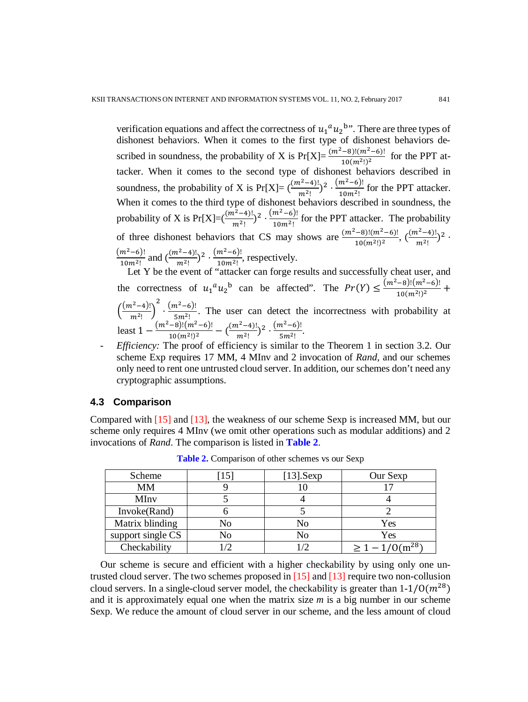verification equations and affect the correctness of  $u_1^a u_2^b$ . There are three types of dishonest behaviors. When it comes to the first type of dishonest behaviors described in soundness, the probability of X is Pr[X]= $\frac{(m^2-8)!(m^2-6)!}{10(m^2!)^2}$  for the PPT attacker. When it comes to the second type of dishonest behaviors described in soundness, the probability of X is Pr[X]=  $\left(\frac{(m^2-4)!}{m^2!}\right)^2 \cdot \frac{(m^2-6)!}{10m^2!}$  $\frac{m}{10m^2}$  for the PPT attacker. When it comes to the third type of dishonest behaviors described in soundness, the probability of X is Pr[X]= $\left(\frac{(m^2-4)!}{m^2!}\right)^2 \cdot \frac{(m^2-6)!}{10m^2!}$  $\frac{m}{10m^2!}$  for the PPT attacker. The probability of three dishonest behaviors that CS may shows are  $\frac{(m^2-8)!(m^2-6)!}{10(m^2!)^2}$ ,  $\left(\frac{(m^2-4)!}{m^2!}\right)^2$ .  $(m^2-6)!$  $\frac{(m^2-6)!}{(10m^2)!}$  and  $\left(\frac{(m^2-4)!}{m^2!}\right)^2 \cdot \frac{(m^2-6)!}{(10m^2)!}$ , respectively.

Let Y be the event of "attacker can forge results and successfully cheat user, and the correctness of  $u_1^a u_2^b$  can be affected". The  $Pr(Y) \leq \frac{(m^2-8)!(m^2-6)!}{10(m^2!)^2} +$  $\left(\frac{(m^2-4)!}{m^2!}\right)$ 2  $\cdot \frac{(m^2-6)!}{5m^2!}$  $rac{n}{5m^2!}$ . The user can detect the incorrectness with probability at least  $1 - \frac{(m^2-8)!(m^2-6)!}{10(m^2!)^2} - \left(\frac{(m^2-4)!}{m^2!}\right)^2 \cdot \frac{(m^2-6)!}{5m^2!}$ .

*Efficiency:* The proof of efficiency is similar to the Theorem 1 in section 3.2. Our scheme Exp requires 17 MM, 4 MInv and 2 invocation of *Rand*, and our schemes only need to rent one untrusted cloud server. In addition, our schemes don't need any cryptographic assumptions.

## **4.3 Comparison**

Compared with [15] and [13], the weakness of our scheme Sexp is increased MM, but our scheme only requires 4 MInv (we omit other operations such as modular additions) and 2 invocations of *Rand*. The comparison is listed in **Table 2**.

| Scheme            |    | $[13]$ . Sexp | Our Sexp                          |
|-------------------|----|---------------|-----------------------------------|
| <b>MM</b>         |    |               |                                   |
| MInv              |    |               |                                   |
| Invoke(Rand)      |    |               |                                   |
| Matrix blinding   | Nο | No            | Yes                               |
| support single CS | No | No            | Yes                               |
| Checkability      | /2 |               | $\geq 1 - 1/0$ (m <sup>28</sup> ) |

**Table 2.** Comparison of other schemes vs our Sexp

Our scheme is secure and efficient with a higher checkability by using only one untrusted cloud server. The two schemes proposed in [15] and [13] require two non-collusion cloud servers. In a single-cloud server model, the checkability is greater than  $1-1/0(m^{28})$ and it is approximately equal one when the matrix size *m* is a big number in our scheme Sexp. We reduce the amount of cloud server in our scheme, and the less amount of cloud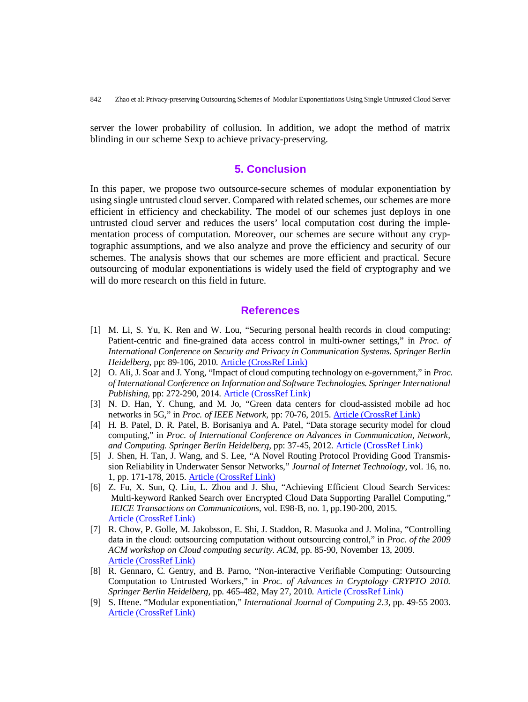server the lower probability of collusion. In addition, we adopt the method of matrix blinding in our scheme Sexp to achieve privacy-preserving.

# **5. Conclusion**

In this paper, we propose two outsource-secure schemes of modular exponentiation by using single untrusted cloud server. Compared with related schemes, our schemes are more efficient in efficiency and checkability. The model of our schemes just deploys in one untrusted cloud server and reduces the users' local computation cost during the implementation process of computation. Moreover, our schemes are secure without any cryptographic assumptions, and we also analyze and prove the efficiency and security of our schemes. The analysis shows that our schemes are more efficient and practical. Secure outsourcing of modular exponentiations is widely used the field of cryptography and we will do more research on this field in future.

## **References**

- [1] M. Li, S. Yu, K. Ren and W. Lou, "Securing personal health records in cloud computing: Patient-centric and fine-grained data access control in multi-owner settings," in *Proc. of International Conference on Security and Privacy in Communication Systems. Springer Berlin Heidelberg*, pp: 89-106, 2010. [Article \(CrossRef Link\)](http://dx.doi.org/doi:10.1007/978-3-642-16161-2_6)
- [2] O. Ali, J. Soar and J. Yong, "Impact of cloud computing technology on e-government," in *Proc. of International Conference on Information and Software Technologies. Springer International Publishing*, pp: 272-290, 2014. [Article \(CrossRef Link\)](http://dx.doi.org/doi:10.1007/978-3-319-11958-8_22)
- [3] N. D. Han, Y. Chung, and M. Jo, "Green data centers for cloud-assisted mobile ad hoc networks in 5G," in *Proc. of IEEE Network*, pp: 70-76, 2015. [Article \(CrossRef Link\)](http://dx.doi.org/doi:10.1109/MNET.2015.7064906)
- [4] H. B. Patel, D. R. Patel, B. Borisaniya and A. Patel, "Data storage security model for cloud computing," in *Proc. of International Conference on Advances in Communication, Network, and Computing. Springer Berlin Heidelberg*, pp: 37-45, 2012. [Article \(CrossRef Link\)](http://dx.doi.org/doi:10.1007/978-3-642-35615-5_6)
- [5] J. Shen, H. Tan, J. Wang, and S. Lee, "A Novel Routing Protocol Providing Good Transmission Reliability in Underwater Sensor Networks," *Journal of Internet Technology*, vol. 16, no. 1, pp. 171-178, 2015. [Article \(CrossRef Link\)](http://dx.doi.org/doi:10.6138/JIT.2014.16.1.20131203e)
- [6] Z. Fu, X. Sun, Q. Liu, L. Zhou and J. Shu, "Achieving Efficient Cloud Search Services: Multi-keyword Ranked Search over Encrypted Cloud Data Supporting Parallel Computing," *IEICE Transactions on Communications*, vol. E98-B, no. 1, pp.190-200, 2015. [Article \(CrossRef Link\)](http://dx.doi.org/doi:10.1587/transcom.E98.B.190)
- [7] R. Chow, P. Golle, M. Jakobsson, E. Shi, J. Staddon, R. Masuoka and J. Molina, "Controlling data in the cloud: outsourcing computation without outsourcing control," in *Proc. of the 2009 ACM workshop on Cloud computing security. ACM*, pp. 85-90, November 13, 2009. [Article \(CrossRef Link\)](http://dx.doi.org/doi:10.1145/1655008.1655020)
- [8] R. Gennaro, C. Gentry, and B. Parno, "Non-interactive Verifiable Computing: Outsourcing Computation to Untrusted Workers," in *Proc. of Advances in Cryptology–CRYPTO 2010. Springer Berlin Heidelberg,* pp. 465-482, May 27, 2010. [Article \(CrossRef Link\)](http://dx.doi.org/doi:10.1007/978-3-642-14623-7_25)
- [9] S. Iftene. "Modular exponentiation," *International Journal of Computing 2.3,* pp. 49-55 2003. [Article \(CrossRef Link\)](http://computingonline.net/index.php/computing/article/view/229)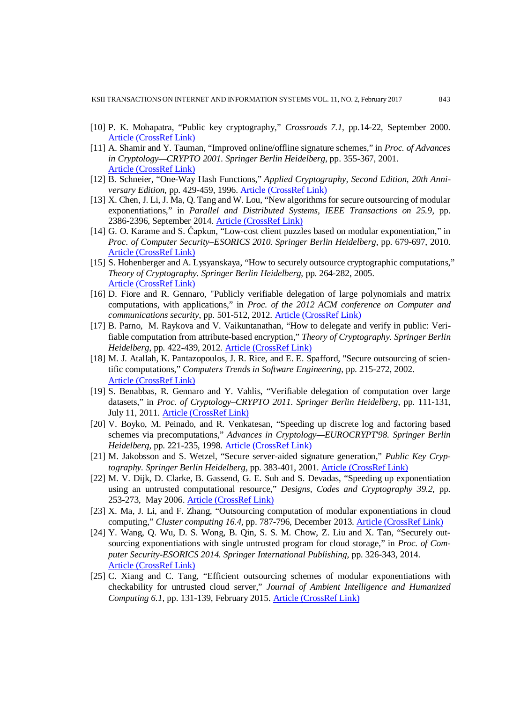- [10] P. K. Mohapatra, "Public key cryptography," *Crossroads 7.1*, pp.14-22, September 2000. [Article \(CrossRef Link\)](http://dx.doi.org/doi:10.1145/351092.351098)
- [11] A. Shamir and Y. Tauman, "Improved online/offline signature schemes," in *Proc. of Advances in Cryptology—CRYPTO 2001. Springer Berlin Heidelberg,* pp. 355-367, 2001. [Article \(CrossRef Link\)](http://dx.doi.org/doi:10.1007/3-540-44647-8_21)
- [12] B. Schneier, "One-Way Hash Functions," *Applied Cryptography, Second Edition, 20th Anniversary Edition,* pp. 429-459, 1996. [Article \(CrossRef Link\)](http://dx.doi.org/doi:10.1002/9781119183471.ch18)
- [13] X. Chen, J. Li, J. Ma, Q. Tang and W. Lou, "New algorithms for secure outsourcing of modular exponentiations," in *Parallel and Distributed Systems, IEEE Transactions on 25.9,* pp. 2386-2396, September 2014. [Article \(CrossRef Link\)](http://dx.doi.org/doi:10.1109/TPDS.2013.180)
- [14] G. O. Karame and S. Čapkun, "Low-cost client puzzles based on modular exponentiation," in *Proc. of Computer Security–ESORICS 2010. Springer Berlin Heidelberg*, pp. 679-697, 2010. [Article \(CrossRef Link\)](http://dx.doi.org/doi:10.1007/978-3-642-15497-3_41)
- [15] S. Hohenberger and A. Lysyanskaya, "How to securely outsource cryptographic computations," *Theory of Cryptography. Springer Berlin Heidelberg*, pp. 264-282, 2005. [Article \(CrossRef Link\)](http://dx.doi.org/doi:10.1007/978-3-540-30576-7_15)
- [16] D. Fiore and R. Gennaro, "Publicly verifiable delegation of large polynomials and matrix computations, with applications," in *Proc. of the 2012 ACM conference on Computer and communications security*, pp. 501-512, 2012. [Article \(CrossRef Link\)](http://dx.doi.org/doi:10.1145/2382196.2382250)
- [17] B. Parno, M. Raykova and V. Vaikuntanathan, "How to delegate and verify in public: Verifiable computation from attribute-based encryption," *Theory of Cryptography. Springer Berlin Heidelberg*, pp. 422-439, 2012[. Article \(CrossRef Link\)](http://dx.doi.org/doi:10.1007/978-3-642-28914-9_24)
- [18] M. J. Atallah, K. Pantazopoulos, J. R. Rice, and E. E. Spafford, "Secure outsourcing of scientific computations," *Computers Trends in Software Engineering*, pp. 215-272, 2002. [Article \(CrossRef Link\)](http://dx.doi.org/doi:10.1016/S0065-2458(01)80019-X)
- [19] S. Benabbas, R. Gennaro and Y. Vahlis, "Verifiable delegation of computation over large datasets," in *Proc. of Cryptology–CRYPTO 2011. Springer Berlin Heidelberg*, pp. 111-131, July 11, 2011. **[Article \(CrossRef Link\)](http://dx.doi.org/doi:10.1007/978-3-642-22792-9_7)**
- [20] V. Boyko, M. Peinado, and R. Venkatesan, "Speeding up discrete log and factoring based schemes via precomputations," *Advances in Cryptology—EUROCRYPT'98. Springer Berlin Heidelberg*, pp. 221-235, 1998. [Article \(CrossRef Link\)](http://dx.doi.org/doi:10.1007/BFb0054129)
- [21] M. Jakobsson and S. Wetzel, "Secure server-aided signature generation," *Public Key Cryptography. Springer Berlin Heidelberg*, pp. 383-401, 2001. [Article \(CrossRef Link\)](http://dx.doi.org/doi:10.1007/3-540-44586-2_28)
- [22] M. V. Dijk, D. Clarke, B. Gassend, G. E. Suh and S. Devadas, "Speeding up exponentiation using an untrusted computational resource," *Designs, Codes and Cryptography 39.2*, pp. 253-273, May 2006. [Article \(CrossRef Link\)](http://dx.doi.org/doi:10.1007/s10623-005-3710-8)
- [23] X. Ma, J. Li, and F. Zhang, "Outsourcing computation of modular exponentiations in cloud computing," *Cluster computing 16.4*, pp. 787-796, December 2013. **Article (CrossRef Link)**
- [24] Y. Wang, Q. Wu, D. S. Wong, B. Qin, S. S. M. Chow, Z. Liu and X. Tan, "Securely outsourcing exponentiations with single untrusted program for cloud storage," in *Proc. of Computer Security-ESORICS 2014. Springer International Publishing*, pp. 326-343, 2014. [Article \(CrossRef Link\)](http://dx.doi.org/doi:10.1007/978-3-319-11203-9_19)
- [25] C. Xiang and C. Tang, "Efficient outsourcing schemes of modular exponentiations with checkability for untrusted cloud server," *Journal of Ambient Intelligence and Humanized Computing 6.1*, pp. 131-139, February 2015. [Article \(CrossRef Link\)](http://dx.doi.org/doi:10.1007/s12652-014-0254-7)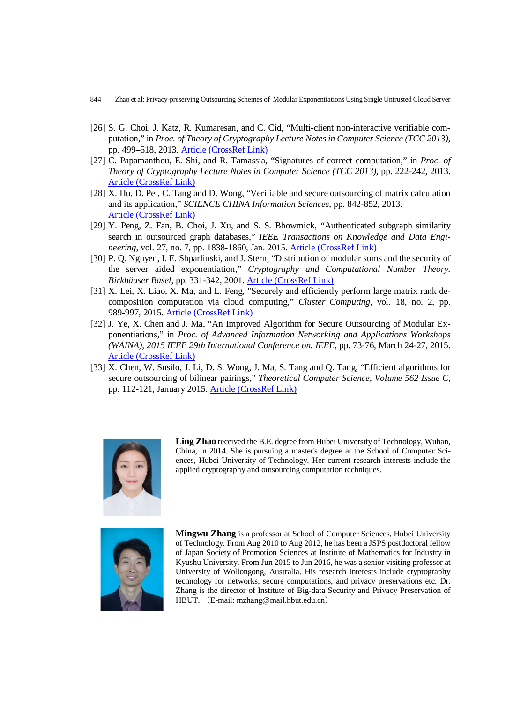- 844 Zhao et al: Privacy-preserving Outsourcing Schemes of Modular Exponentiations Using Single Untrusted Cloud Server
- [26] S. G. Choi, J. Katz, R. Kumaresan, and C. Cid, "Multi-client non-interactive verifiable computation," in *Proc. of Theory of Cryptography Lecture Notes in Computer Science (TCC 2013)*, pp. 499–518, 2013. [Article \(CrossRef Link\)](http://dx.doi.org/doi:10.1007/978-3-642-36594-2_28)
- [27] C. Papamanthou, E. Shi, and R. Tamassia, "Signatures of correct computation," in *Proc. of Theory of Cryptography Lecture Notes in Computer Science (TCC 2013)*, pp. 222-242, 2013. [Article \(CrossRef Link\)](http://dx.doi.org/doi:10.1007/978-3-642-36594-2_13)
- [28] X. Hu, D. Pei, C. Tang and D. Wong, "Verifiable and secure outsourcing of matrix calculation and its application," *SCIENCE CHINA Information Sciences*, pp. 842-852, 2013. [Article \(CrossRef Link\)](http://info.scichina.com:8084/sciF/EN/Y2013/V43/I7/842)
- [29] Y. Peng, Z. Fan, B. Choi, J. Xu, and S. S. Bhowmick, "Authenticated subgraph similarity search in outsourced graph databases," *IEEE Transactions on Knowledge and Data Engineering*, vol. 27, no. 7, pp. 1838-1860, Jan. 2015. [Article \(CrossRef Link\)](http://dx.doi.org/doi:10.1109/TKDE.2014.2316818)
- [30] P. Q. Nguyen, I. E. Shparlinski, and J. Stern, "Distribution of modular sums and the security of the server aided exponentiation," *Cryptography and Computational Number Theory. Birkhäuser Basel*, pp. 331-342, 2001. [Article \(CrossRef Link\)](http://dx.doi.org/doi:10.1007/978-3-0348-8295-8_24)
- [31] X. Lei, X. Liao, X. Ma, and L. Feng, "Securely and efficiently perform large matrix rank decomposition computation via cloud computing," *Cluster Computing*, vol. 18, no. 2, pp. 989-997, 2015. [Article \(CrossRef Link\)](http://dx.doi.org/doi:10.1007/s10586-015-0444-x)
- [32] J. Ye, X. Chen and J. Ma, "An Improved Algorithm for Secure Outsourcing of Modular Exponentiations," in *Proc. of Advanced Information Networking and Applications Workshops (WAINA), 2015 IEEE 29th International Conference on. IEEE*, pp. 73-76, March 24-27, 2015. [Article \(CrossRef Link\)](http://dx.doi.org/doi:10.1109/waina.2015.34)
- [33] X. Chen, W. Susilo, J. Li, D. S. Wong, J. Ma, S. Tang and Q. Tang, "Efficient algorithms for secure outsourcing of bilinear pairings," *Theoretical Computer Science, Volume 562 Issue C*, pp. 112-121, January 2015. [Article \(CrossRef Link\)](http://dx.doi.org/doi:10.1016/j.tcs.2014.09.038)



**Ling Zhao** received the B.E. degree from Hubei University of Technology, Wuhan, China, in 2014. She is pursuing a master's degree at the School of Computer Sciences, Hubei University of Technology. Her current research interests include the applied cryptography and outsourcing computation techniques.



**Mingwu Zhang** is a professor at School of Computer Sciences, Hubei University of Technology. From Aug 2010 to Aug 2012, he has been a JSPS postdoctoral fellow of Japan Society of Promotion Sciences at Institute of Mathematics for Industry in Kyushu University. From Jun 2015 to Jun 2016, he was a senior visiting professor at University of Wollongong, Australia. His research interests include cryptography technology for networks, secure computations, and privacy preservations etc. Dr. Zhang is the director of Institute of Big-data Security and Privacy Preservation of HBUT. (E-mail: mzhang@mail.hbut.edu.cn)